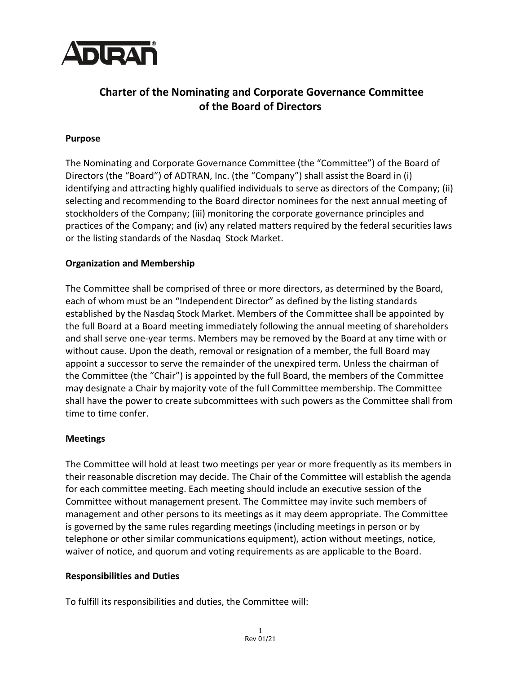

# **Charter of the Nominating and Corporate Governance Committee of the Board of Directors**

## **Purpose**

The Nominating and Corporate Governance Committee (the "Committee") of the Board of Directors (the "Board") of ADTRAN, Inc. (the "Company") shall assist the Board in (i) identifying and attracting highly qualified individuals to serve as directors of the Company; (ii) selecting and recommending to the Board director nominees for the next annual meeting of stockholders of the Company; (iii) monitoring the corporate governance principles and practices of the Company; and (iv) any related matters required by the federal securities laws or the listing standards of the Nasdaq Stock Market.

## **Organization and Membership**

The Committee shall be comprised of three or more directors, as determined by the Board, each of whom must be an "Independent Director" as defined by the listing standards established by the Nasdaq Stock Market. Members of the Committee shall be appointed by the full Board at a Board meeting immediately following the annual meeting of shareholders and shall serve one-year terms. Members may be removed by the Board at any time with or without cause. Upon the death, removal or resignation of a member, the full Board may appoint a successor to serve the remainder of the unexpired term. Unless the chairman of the Committee (the "Chair") is appointed by the full Board, the members of the Committee may designate a Chair by majority vote of the full Committee membership. The Committee shall have the power to create subcommittees with such powers as the Committee shall from time to time confer.

### **Meetings**

The Committee will hold at least two meetings per year or more frequently as its members in their reasonable discretion may decide. The Chair of the Committee will establish the agenda for each committee meeting. Each meeting should include an executive session of the Committee without management present. The Committee may invite such members of management and other persons to its meetings as it may deem appropriate. The Committee is governed by the same rules regarding meetings (including meetings in person or by telephone or other similar communications equipment), action without meetings, notice, waiver of notice, and quorum and voting requirements as are applicable to the Board.

### **Responsibilities and Duties**

To fulfill its responsibilities and duties, the Committee will: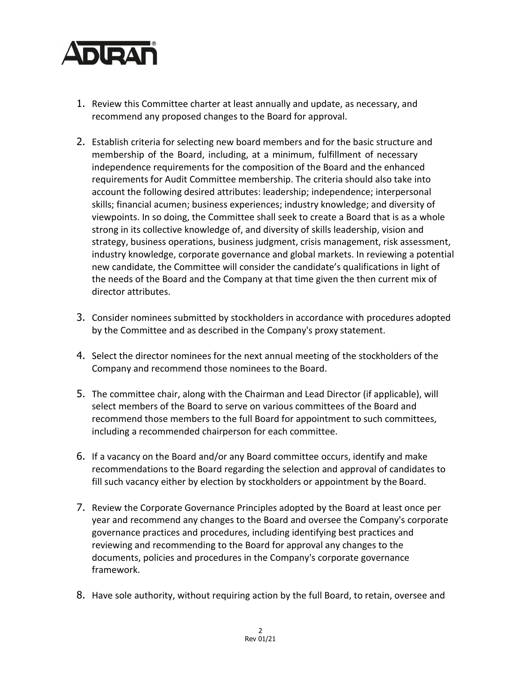

- 1. Review this Committee charter at least annually and update, as necessary, and recommend any proposed changes to the Board for approval.
- 2. Establish criteria for selecting new board members and for the basic structure and membership of the Board, including, at a minimum, fulfillment of necessary independence requirements for the composition of the Board and the enhanced requirements for Audit Committee membership. The criteria should also take into account the following desired attributes: leadership; independence; interpersonal skills; financial acumen; business experiences; industry knowledge; and diversity of viewpoints. In so doing, the Committee shall seek to create a Board that is as a whole strong in its collective knowledge of, and diversity of skills leadership, vision and strategy, business operations, business judgment, crisis management, risk assessment, industry knowledge, corporate governance and global markets. In reviewing a potential new candidate, the Committee will consider the candidate's qualifications in light of the needs of the Board and the Company at that time given the then current mix of director attributes.
- 3. Consider nominees submitted by stockholders in accordance with procedures adopted by the Committee and as described in the Company's proxy statement.
- 4. Select the director nominees for the next annual meeting of the stockholders of the Company and recommend those nominees to the Board.
- 5. The committee chair, along with the Chairman and Lead Director (if applicable), will select members of the Board to serve on various committees of the Board and recommend those members to the full Board for appointment to such committees, including a recommended chairperson for each committee.
- 6. If a vacancy on the Board and/or any Board committee occurs, identify and make recommendations to the Board regarding the selection and approval of candidates to fill such vacancy either by election by stockholders or appointment by the Board.
- 7. Review the Corporate Governance Principles adopted by the Board at least once per year and recommend any changes to the Board and oversee the Company's corporate governance practices and procedures, including identifying best practices and reviewing and recommending to the Board for approval any changes to the documents, policies and procedures in the Company's corporate governance framework.
- 8. Have sole authority, without requiring action by the full Board, to retain, oversee and